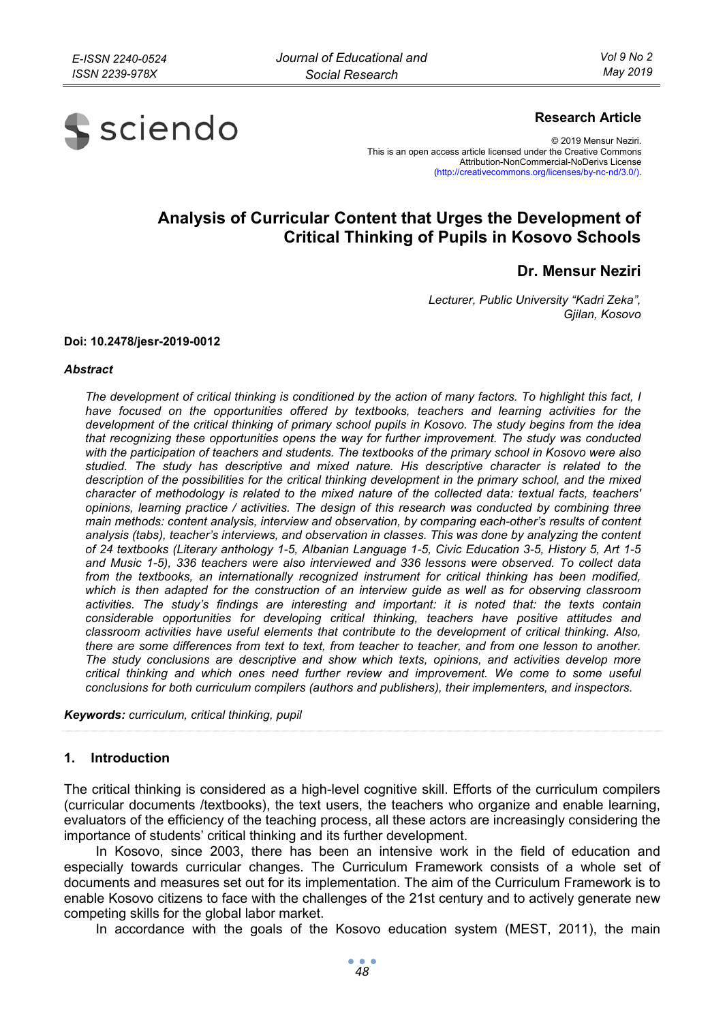

## **Research Article**

© 2019 Mensur Neziri. This is an open access article licensed under the Creative Commons Attribution-NonCommercial-NoDerivs License (http://creativecommons.org/licenses/by-nc-nd/3.0/).

# **Analysis of Curricular Content that Urges the Development of Critical Thinking of Pupils in Kosovo Schools**

# **Dr. Mensur Neziri**

*Lecturer, Public University "Kadri Zeka", Gjilan, Kosovo* 

#### **Doi: 10.2478/jesr-2019-0012**

#### *Abstract*

*The development of critical thinking is conditioned by the action of many factors. To highlight this fact, I*  have focused on the opportunities offered by textbooks, teachers and learning activities for the *development of the critical thinking of primary school pupils in Kosovo. The study begins from the idea that recognizing these opportunities opens the way for further improvement. The study was conducted with the participation of teachers and students. The textbooks of the primary school in Kosovo were also studied. The study has descriptive and mixed nature. His descriptive character is related to the description of the possibilities for the critical thinking development in the primary school, and the mixed character of methodology is related to the mixed nature of the collected data: textual facts, teachers' opinions, learning practice / activities. The design of this research was conducted by combining three main methods: content analysis, interview and observation, by comparing each-other's results of content analysis (tabs), teacher's interviews, and observation in classes. This was done by analyzing the content of 24 textbooks (Literary anthology 1-5, Albanian Language 1-5, Civic Education 3-5, History 5, Art 1-5 and Music 1-5), 336 teachers were also interviewed and 336 lessons were observed. To collect data from the textbooks, an internationally recognized instrument for critical thinking has been modified, which is then adapted for the construction of an interview guide as well as for observing classroom activities. The study's findings are interesting and important: it is noted that: the texts contain considerable opportunities for developing critical thinking, teachers have positive attitudes and classroom activities have useful elements that contribute to the development of critical thinking. Also, there are some differences from text to text, from teacher to teacher, and from one lesson to another. The study conclusions are descriptive and show which texts, opinions, and activities develop more critical thinking and which ones need further review and improvement. We come to some useful conclusions for both curriculum compilers (authors and publishers), their implementers, and inspectors.* 

*Keywords: curriculum, critical thinking, pupil* 

#### **1. Introduction**

The critical thinking is considered as a high-level cognitive skill. Efforts of the curriculum compilers (curricular documents /textbooks), the text users, the teachers who organize and enable learning, evaluators of the efficiency of the teaching process, all these actors are increasingly considering the importance of students' critical thinking and its further development.

In Kosovo, since 2003, there has been an intensive work in the field of education and especially towards curricular changes. The Curriculum Framework consists of a whole set of documents and measures set out for its implementation. The aim of the Curriculum Framework is to enable Kosovo citizens to face with the challenges of the 21st century and to actively generate new competing skills for the global labor market.

In accordance with the goals of the Kosovo education system (MEST, 2011), the main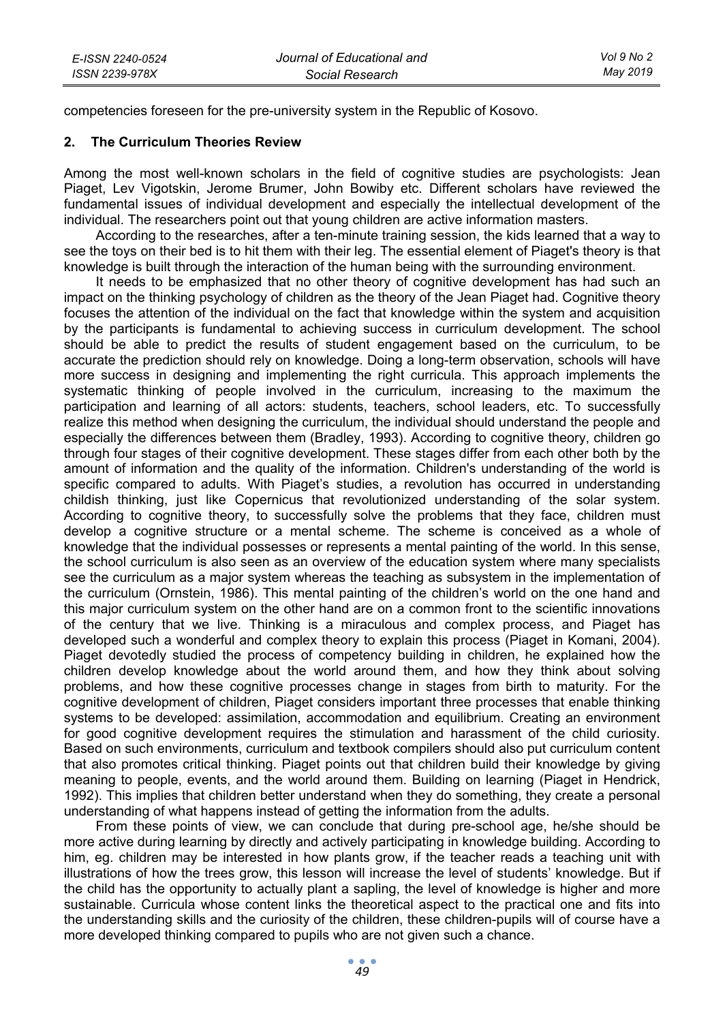competencies foreseen for the pre-university system in the Republic of Kosovo.

#### **2. The Curriculum Theories Review**

Among the most well-known scholars in the field of cognitive studies are psychologists: Jean Piaget, Lev Vigotskin, Jerome Brumer, John Bowiby etc. Different scholars have reviewed the fundamental issues of individual development and especially the intellectual development of the individual. The researchers point out that young children are active information masters.

According to the researches, after a ten-minute training session, the kids learned that a way to see the toys on their bed is to hit them with their leg. The essential element of Piaget's theory is that knowledge is built through the interaction of the human being with the surrounding environment.

It needs to be emphasized that no other theory of cognitive development has had such an impact on the thinking psychology of children as the theory of the Jean Piaget had. Cognitive theory focuses the attention of the individual on the fact that knowledge within the system and acquisition by the participants is fundamental to achieving success in curriculum development. The school should be able to predict the results of student engagement based on the curriculum, to be accurate the prediction should rely on knowledge. Doing a long-term observation, schools will have more success in designing and implementing the right curricula. This approach implements the systematic thinking of people involved in the curriculum, increasing to the maximum the participation and learning of all actors: students, teachers, school leaders, etc. To successfully realize this method when designing the curriculum, the individual should understand the people and especially the differences between them (Bradley, 1993). According to cognitive theory, children go through four stages of their cognitive development. These stages differ from each other both by the amount of information and the quality of the information. Children's understanding of the world is specific compared to adults. With Piaget's studies, a revolution has occurred in understanding childish thinking, just like Copernicus that revolutionized understanding of the solar system. According to cognitive theory, to successfully solve the problems that they face, children must develop a cognitive structure or a mental scheme. The scheme is conceived as a whole of knowledge that the individual possesses or represents a mental painting of the world. In this sense, the school curriculum is also seen as an overview of the education system where many specialists see the curriculum as a major system whereas the teaching as subsystem in the implementation of the curriculum (Ornstein, 1986). This mental painting of the children's world on the one hand and this major curriculum system on the other hand are on a common front to the scientific innovations of the century that we live. Thinking is a miraculous and complex process, and Piaget has developed such a wonderful and complex theory to explain this process (Piaget in Komani, 2004). Piaget devotedly studied the process of competency building in children, he explained how the children develop knowledge about the world around them, and how they think about solving problems, and how these cognitive processes change in stages from birth to maturity. For the cognitive development of children, Piaget considers important three processes that enable thinking systems to be developed: assimilation, accommodation and equilibrium. Creating an environment for good cognitive development requires the stimulation and harassment of the child curiosity. Based on such environments, curriculum and textbook compilers should also put curriculum content that also promotes critical thinking. Piaget points out that children build their knowledge by giving meaning to people, events, and the world around them. Building on learning (Piaget in Hendrick, 1992). This implies that children better understand when they do something, they create a personal understanding of what happens instead of getting the information from the adults.

From these points of view, we can conclude that during pre-school age, he/she should be more active during learning by directly and actively participating in knowledge building. According to him, eg. children may be interested in how plants grow, if the teacher reads a teaching unit with illustrations of how the trees grow, this lesson will increase the level of students' knowledge. But if the child has the opportunity to actually plant a sapling, the level of knowledge is higher and more sustainable. Curricula whose content links the theoretical aspect to the practical one and fits into the understanding skills and the curiosity of the children, these children-pupils will of course have a more developed thinking compared to pupils who are not given such a chance.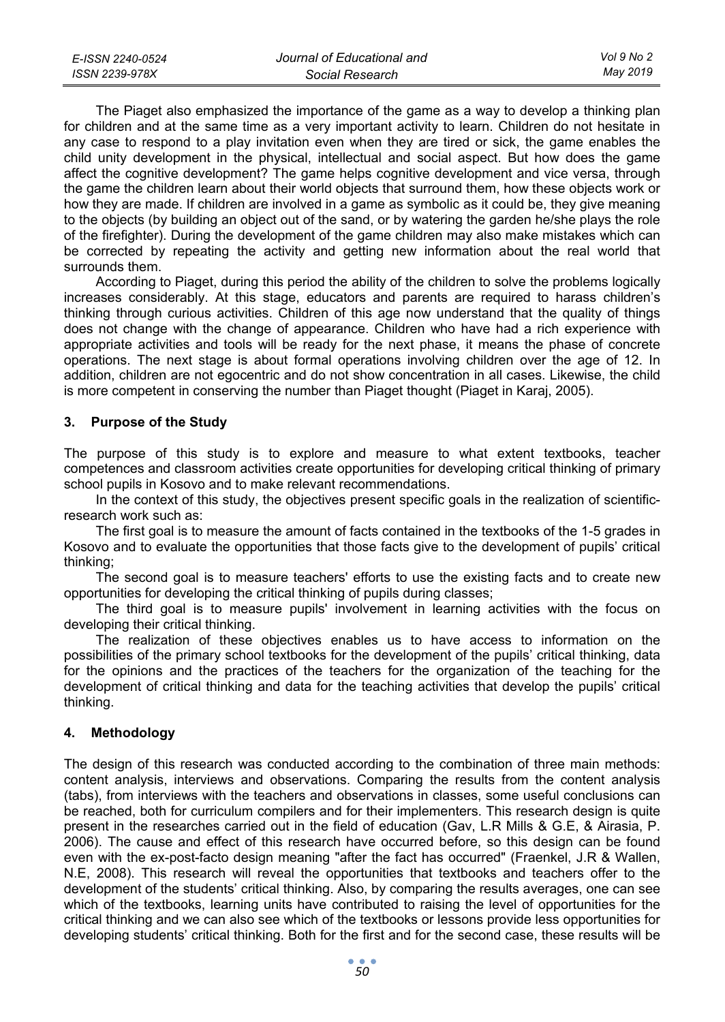| E-ISSN 2240-0524 | Journal of Educational and | Vol 9 No 2 |
|------------------|----------------------------|------------|
| ISSN 2239-978X   | Social Research            | May 2019   |

The Piaget also emphasized the importance of the game as a way to develop a thinking plan for children and at the same time as a very important activity to learn. Children do not hesitate in any case to respond to a play invitation even when they are tired or sick, the game enables the child unity development in the physical, intellectual and social aspect. But how does the game affect the cognitive development? The game helps cognitive development and vice versa, through the game the children learn about their world objects that surround them, how these objects work or how they are made. If children are involved in a game as symbolic as it could be, they give meaning to the objects (by building an object out of the sand, or by watering the garden he/she plays the role of the firefighter). During the development of the game children may also make mistakes which can be corrected by repeating the activity and getting new information about the real world that surrounds them.

According to Piaget, during this period the ability of the children to solve the problems logically increases considerably. At this stage, educators and parents are required to harass children's thinking through curious activities. Children of this age now understand that the quality of things does not change with the change of appearance. Children who have had a rich experience with appropriate activities and tools will be ready for the next phase, it means the phase of concrete operations. The next stage is about formal operations involving children over the age of 12. In addition, children are not egocentric and do not show concentration in all cases. Likewise, the child is more competent in conserving the number than Piaget thought (Piaget in Karaj, 2005).

# **3. Purpose of the Study**

The purpose of this study is to explore and measure to what extent textbooks, teacher competences and classroom activities create opportunities for developing critical thinking of primary school pupils in Kosovo and to make relevant recommendations.

In the context of this study, the objectives present specific goals in the realization of scientificresearch work such as:

The first goal is to measure the amount of facts contained in the textbooks of the 1-5 grades in Kosovo and to evaluate the opportunities that those facts give to the development of pupils' critical thinking;

The second goal is to measure teachers' efforts to use the existing facts and to create new opportunities for developing the critical thinking of pupils during classes;

The third goal is to measure pupils' involvement in learning activities with the focus on developing their critical thinking.

The realization of these objectives enables us to have access to information on the possibilities of the primary school textbooks for the development of the pupils' critical thinking, data for the opinions and the practices of the teachers for the organization of the teaching for the development of critical thinking and data for the teaching activities that develop the pupils' critical thinking.

#### **4. Methodology**

The design of this research was conducted according to the combination of three main methods: content analysis, interviews and observations. Comparing the results from the content analysis (tabs), from interviews with the teachers and observations in classes, some useful conclusions can be reached, both for curriculum compilers and for their implementers. This research design is quite present in the researches carried out in the field of education (Gav, L.R Mills & G.E, & Airasia, P. 2006). The cause and effect of this research have occurred before, so this design can be found even with the ex-post-facto design meaning "after the fact has occurred" (Fraenkel, J.R & Wallen, N.E, 2008). This research will reveal the opportunities that textbooks and teachers offer to the development of the students' critical thinking. Also, by comparing the results averages, one can see which of the textbooks, learning units have contributed to raising the level of opportunities for the critical thinking and we can also see which of the textbooks or lessons provide less opportunities for developing students' critical thinking. Both for the first and for the second case, these results will be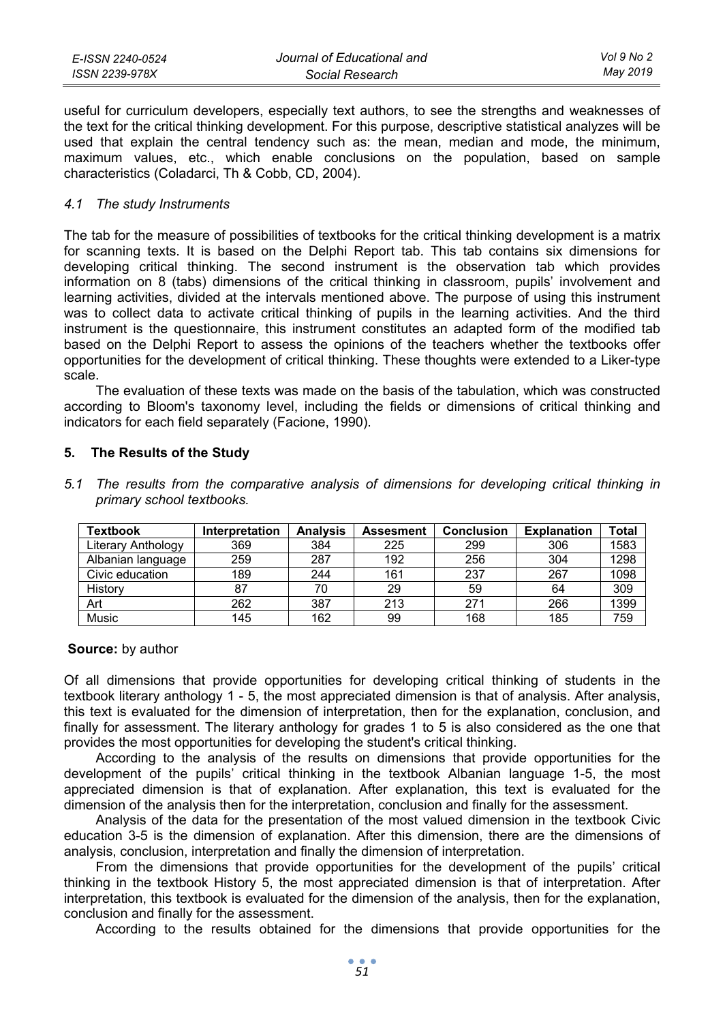| E-ISSN 2240-0524 | Journal of Educational and | Vol 9 No 2 |
|------------------|----------------------------|------------|
| ISSN 2239-978X   | Social Research            | Mav 2019   |

useful for curriculum developers, especially text authors, to see the strengths and weaknesses of the text for the critical thinking development. For this purpose, descriptive statistical analyzes will be used that explain the central tendency such as: the mean, median and mode, the minimum, maximum values, etc., which enable conclusions on the population, based on sample characteristics (Coladarci, Th & Cobb, CD, 2004).

#### *4.1 The study Instruments*

The tab for the measure of possibilities of textbooks for the critical thinking development is a matrix for scanning texts. It is based on the Delphi Report tab. This tab contains six dimensions for developing critical thinking. The second instrument is the observation tab which provides information on 8 (tabs) dimensions of the critical thinking in classroom, pupils' involvement and learning activities, divided at the intervals mentioned above. The purpose of using this instrument was to collect data to activate critical thinking of pupils in the learning activities. And the third instrument is the questionnaire, this instrument constitutes an adapted form of the modified tab based on the Delphi Report to assess the opinions of the teachers whether the textbooks offer opportunities for the development of critical thinking. These thoughts were extended to a Liker-type scale.

The evaluation of these texts was made on the basis of the tabulation, which was constructed according to Bloom's taxonomy level, including the fields or dimensions of critical thinking and indicators for each field separately (Facione, 1990).

### **5. The Results of the Study**

| <b>Textbook</b>    | Interpretation | <b>Analysis</b> | Assesment | <b>Conclusion</b> | <b>Explanation</b> | Total |
|--------------------|----------------|-----------------|-----------|-------------------|--------------------|-------|
| Literary Anthology | 369            | 384             | 225       | 299               | 306                | 1583  |
| Albanian language  | 259            | 287             | 192       | 256               | 304                | 1298  |
| Civic education    | 189            | 244             | 161       | 237               | 267                | 1098  |
| History            | 87             | 70              | 29        | 59                | 64                 | 309   |
| Art                | 262            | 387             | 213       | 271               | 266                | 1399  |
| Music              | 145            | 162             | 99        | 168               | 185                | 759   |

*5.1 The results from the comparative analysis of dimensions for developing critical thinking in primary school textbooks.* 

#### **Source:** by author

Of all dimensions that provide opportunities for developing critical thinking of students in the textbook literary anthology 1 - 5, the most appreciated dimension is that of analysis. After analysis, this text is evaluated for the dimension of interpretation, then for the explanation, conclusion, and finally for assessment. The literary anthology for grades 1 to 5 is also considered as the one that provides the most opportunities for developing the student's critical thinking.

According to the analysis of the results on dimensions that provide opportunities for the development of the pupils' critical thinking in the textbook Albanian language 1-5, the most appreciated dimension is that of explanation. After explanation, this text is evaluated for the dimension of the analysis then for the interpretation, conclusion and finally for the assessment.

Analysis of the data for the presentation of the most valued dimension in the textbook Civic education 3-5 is the dimension of explanation. After this dimension, there are the dimensions of analysis, conclusion, interpretation and finally the dimension of interpretation.

From the dimensions that provide opportunities for the development of the pupils' critical thinking in the textbook History 5, the most appreciated dimension is that of interpretation. After interpretation, this textbook is evaluated for the dimension of the analysis, then for the explanation, conclusion and finally for the assessment.

According to the results obtained for the dimensions that provide opportunities for the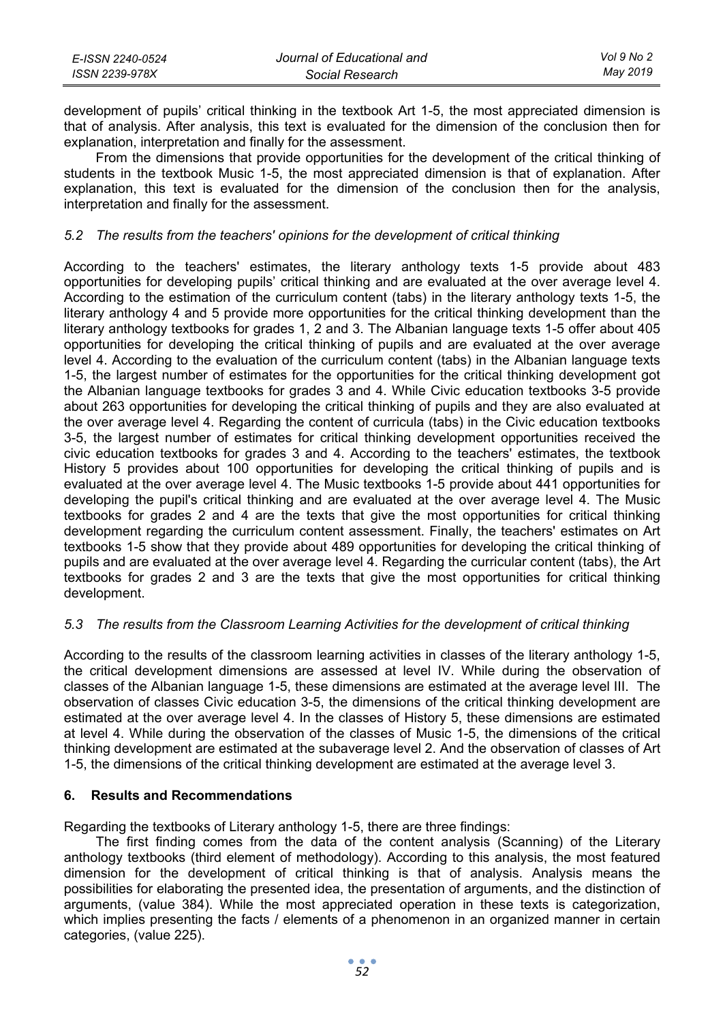| E-ISSN 2240-0524 | Journal of Educational and | Vol 9 No 2 |
|------------------|----------------------------|------------|
| ISSN 2239-978X   | Social Research            | May 2019   |

development of pupils' critical thinking in the textbook Art 1-5, the most appreciated dimension is that of analysis. After analysis, this text is evaluated for the dimension of the conclusion then for explanation, interpretation and finally for the assessment.

From the dimensions that provide opportunities for the development of the critical thinking of students in the textbook Music 1-5, the most appreciated dimension is that of explanation. After explanation, this text is evaluated for the dimension of the conclusion then for the analysis, interpretation and finally for the assessment.

## *5.2 The results from the teachers' opinions for the development of critical thinking*

According to the teachers' estimates, the literary anthology texts 1-5 provide about 483 opportunities for developing pupils' critical thinking and are evaluated at the over average level 4. According to the estimation of the curriculum content (tabs) in the literary anthology texts 1-5, the literary anthology 4 and 5 provide more opportunities for the critical thinking development than the literary anthology textbooks for grades 1, 2 and 3. The Albanian language texts 1-5 offer about 405 opportunities for developing the critical thinking of pupils and are evaluated at the over average level 4. According to the evaluation of the curriculum content (tabs) in the Albanian language texts 1-5, the largest number of estimates for the opportunities for the critical thinking development got the Albanian language textbooks for grades 3 and 4. While Civic education textbooks 3-5 provide about 263 opportunities for developing the critical thinking of pupils and they are also evaluated at the over average level 4. Regarding the content of curricula (tabs) in the Civic education textbooks 3-5, the largest number of estimates for critical thinking development opportunities received the civic education textbooks for grades 3 and 4. According to the teachers' estimates, the textbook History 5 provides about 100 opportunities for developing the critical thinking of pupils and is evaluated at the over average level 4. The Music textbooks 1-5 provide about 441 opportunities for developing the pupil's critical thinking and are evaluated at the over average level 4. The Music textbooks for grades 2 and 4 are the texts that give the most opportunities for critical thinking development regarding the curriculum content assessment. Finally, the teachers' estimates on Art textbooks 1-5 show that they provide about 489 opportunities for developing the critical thinking of pupils and are evaluated at the over average level 4. Regarding the curricular content (tabs), the Art textbooks for grades 2 and 3 are the texts that give the most opportunities for critical thinking development.

## *5.3 The results from the Classroom Learning Activities for the development of critical thinking*

According to the results of the classroom learning activities in classes of the literary anthology 1-5, the critical development dimensions are assessed at level IV. While during the observation of classes of the Albanian language 1-5, these dimensions are estimated at the average level III. The observation of classes Civic education 3-5, the dimensions of the critical thinking development are estimated at the over average level 4. In the classes of History 5, these dimensions are estimated at level 4. While during the observation of the classes of Music 1-5, the dimensions of the critical thinking development are estimated at the subaverage level 2. And the observation of classes of Art 1-5, the dimensions of the critical thinking development are estimated at the average level 3.

### **6. Results and Recommendations**

Regarding the textbooks of Literary anthology 1-5, there are three findings:

The first finding comes from the data of the content analysis (Scanning) of the Literary anthology textbooks (third element of methodology). According to this analysis, the most featured dimension for the development of critical thinking is that of analysis. Analysis means the possibilities for elaborating the presented idea, the presentation of arguments, and the distinction of arguments, (value 384). While the most appreciated operation in these texts is categorization, which implies presenting the facts / elements of a phenomenon in an organized manner in certain categories, (value 225).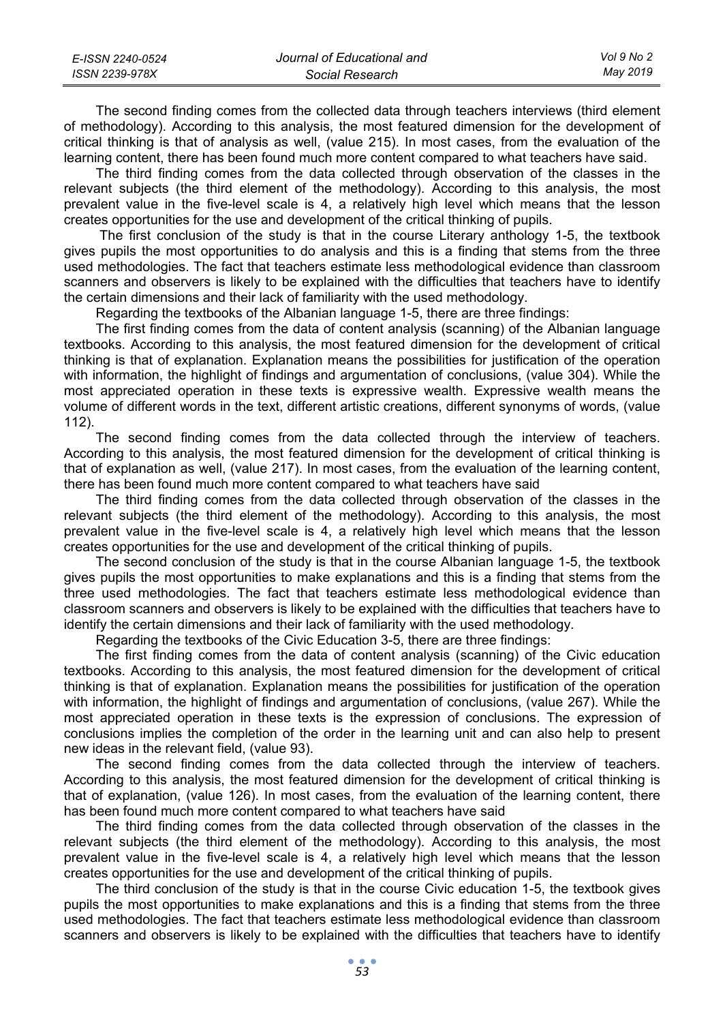| E-ISSN 2240-0524 | Journal of Educational and | Vol 9 No 2 |
|------------------|----------------------------|------------|
| ISSN 2239-978X   | Social Research            | Mav 2019   |

The second finding comes from the collected data through teachers interviews (third element of methodology). According to this analysis, the most featured dimension for the development of critical thinking is that of analysis as well, (value 215). In most cases, from the evaluation of the learning content, there has been found much more content compared to what teachers have said.

The third finding comes from the data collected through observation of the classes in the relevant subjects (the third element of the methodology). According to this analysis, the most prevalent value in the five-level scale is 4, a relatively high level which means that the lesson creates opportunities for the use and development of the critical thinking of pupils.

 The first conclusion of the study is that in the course Literary anthology 1-5, the textbook gives pupils the most opportunities to do analysis and this is a finding that stems from the three used methodologies. The fact that teachers estimate less methodological evidence than classroom scanners and observers is likely to be explained with the difficulties that teachers have to identify the certain dimensions and their lack of familiarity with the used methodology.

Regarding the textbooks of the Albanian language 1-5, there are three findings:

The first finding comes from the data of content analysis (scanning) of the Albanian language textbooks. According to this analysis, the most featured dimension for the development of critical thinking is that of explanation. Explanation means the possibilities for justification of the operation with information, the highlight of findings and argumentation of conclusions, (value 304). While the most appreciated operation in these texts is expressive wealth. Expressive wealth means the volume of different words in the text, different artistic creations, different synonyms of words, (value 112).

The second finding comes from the data collected through the interview of teachers. According to this analysis, the most featured dimension for the development of critical thinking is that of explanation as well, (value 217). In most cases, from the evaluation of the learning content, there has been found much more content compared to what teachers have said

The third finding comes from the data collected through observation of the classes in the relevant subjects (the third element of the methodology). According to this analysis, the most prevalent value in the five-level scale is 4, a relatively high level which means that the lesson creates opportunities for the use and development of the critical thinking of pupils.

The second conclusion of the study is that in the course Albanian language 1-5, the textbook gives pupils the most opportunities to make explanations and this is a finding that stems from the three used methodologies. The fact that teachers estimate less methodological evidence than classroom scanners and observers is likely to be explained with the difficulties that teachers have to identify the certain dimensions and their lack of familiarity with the used methodology.

Regarding the textbooks of the Civic Education 3-5, there are three findings:

The first finding comes from the data of content analysis (scanning) of the Civic education textbooks. According to this analysis, the most featured dimension for the development of critical thinking is that of explanation. Explanation means the possibilities for justification of the operation with information, the highlight of findings and argumentation of conclusions, (value 267). While the most appreciated operation in these texts is the expression of conclusions. The expression of conclusions implies the completion of the order in the learning unit and can also help to present new ideas in the relevant field, (value 93).

The second finding comes from the data collected through the interview of teachers. According to this analysis, the most featured dimension for the development of critical thinking is that of explanation, (value 126). In most cases, from the evaluation of the learning content, there has been found much more content compared to what teachers have said

The third finding comes from the data collected through observation of the classes in the relevant subjects (the third element of the methodology). According to this analysis, the most prevalent value in the five-level scale is 4, a relatively high level which means that the lesson creates opportunities for the use and development of the critical thinking of pupils.

The third conclusion of the study is that in the course Civic education 1-5, the textbook gives pupils the most opportunities to make explanations and this is a finding that stems from the three used methodologies. The fact that teachers estimate less methodological evidence than classroom scanners and observers is likely to be explained with the difficulties that teachers have to identify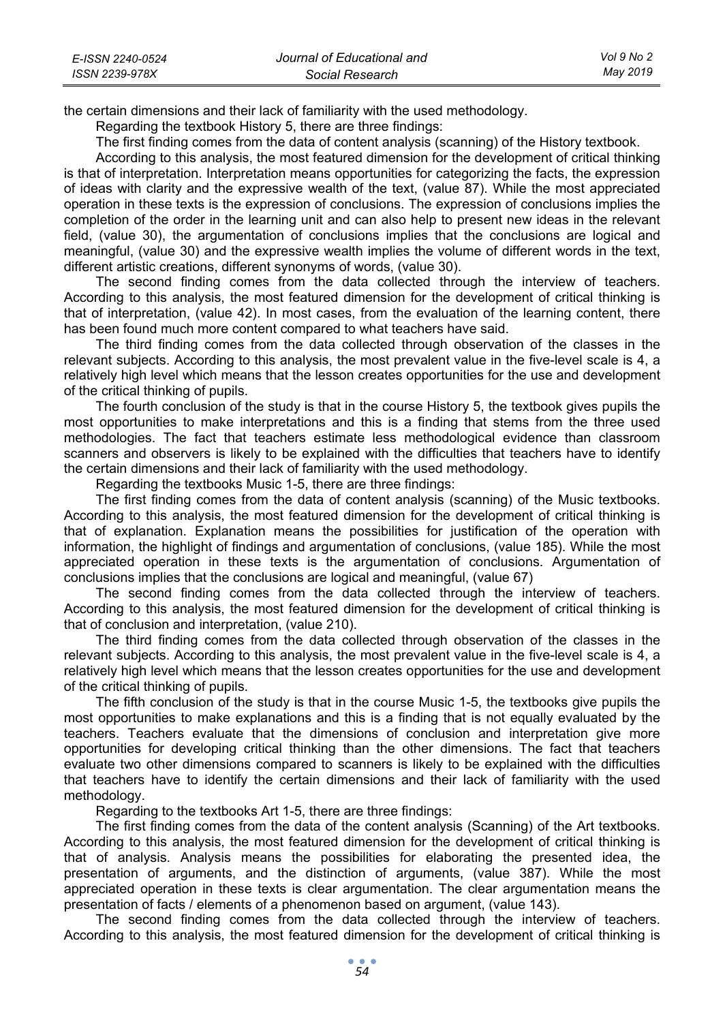| E-ISSN 2240-0524 | Journal of Educational and | Vol 9 No 2 |
|------------------|----------------------------|------------|
| ISSN 2239-978X   | Social Research            | May 2019   |

the certain dimensions and their lack of familiarity with the used methodology.

Regarding the textbook History 5, there are three findings:

The first finding comes from the data of content analysis (scanning) of the History textbook.

According to this analysis, the most featured dimension for the development of critical thinking is that of interpretation. Interpretation means opportunities for categorizing the facts, the expression of ideas with clarity and the expressive wealth of the text, (value 87). While the most appreciated operation in these texts is the expression of conclusions. The expression of conclusions implies the completion of the order in the learning unit and can also help to present new ideas in the relevant field, (value 30), the argumentation of conclusions implies that the conclusions are logical and meaningful, (value 30) and the expressive wealth implies the volume of different words in the text, different artistic creations, different synonyms of words, (value 30).

The second finding comes from the data collected through the interview of teachers. According to this analysis, the most featured dimension for the development of critical thinking is that of interpretation, (value 42). In most cases, from the evaluation of the learning content, there has been found much more content compared to what teachers have said.

The third finding comes from the data collected through observation of the classes in the relevant subjects. According to this analysis, the most prevalent value in the five-level scale is 4, a relatively high level which means that the lesson creates opportunities for the use and development of the critical thinking of pupils.

The fourth conclusion of the study is that in the course History 5, the textbook gives pupils the most opportunities to make interpretations and this is a finding that stems from the three used methodologies. The fact that teachers estimate less methodological evidence than classroom scanners and observers is likely to be explained with the difficulties that teachers have to identify the certain dimensions and their lack of familiarity with the used methodology.

Regarding the textbooks Music 1-5, there are three findings:

The first finding comes from the data of content analysis (scanning) of the Music textbooks. According to this analysis, the most featured dimension for the development of critical thinking is that of explanation. Explanation means the possibilities for justification of the operation with information, the highlight of findings and argumentation of conclusions, (value 185). While the most appreciated operation in these texts is the argumentation of conclusions. Argumentation of conclusions implies that the conclusions are logical and meaningful, (value 67)

The second finding comes from the data collected through the interview of teachers. According to this analysis, the most featured dimension for the development of critical thinking is that of conclusion and interpretation, (value 210).

The third finding comes from the data collected through observation of the classes in the relevant subjects. According to this analysis, the most prevalent value in the five-level scale is 4, a relatively high level which means that the lesson creates opportunities for the use and development of the critical thinking of pupils.

The fifth conclusion of the study is that in the course Music 1-5, the textbooks give pupils the most opportunities to make explanations and this is a finding that is not equally evaluated by the teachers. Teachers evaluate that the dimensions of conclusion and interpretation give more opportunities for developing critical thinking than the other dimensions. The fact that teachers evaluate two other dimensions compared to scanners is likely to be explained with the difficulties that teachers have to identify the certain dimensions and their lack of familiarity with the used methodology.

Regarding to the textbooks Art 1-5, there are three findings:

The first finding comes from the data of the content analysis (Scanning) of the Art textbooks. According to this analysis, the most featured dimension for the development of critical thinking is that of analysis. Analysis means the possibilities for elaborating the presented idea, the presentation of arguments, and the distinction of arguments, (value 387). While the most appreciated operation in these texts is clear argumentation. The clear argumentation means the presentation of facts / elements of a phenomenon based on argument, (value 143).

The second finding comes from the data collected through the interview of teachers. According to this analysis, the most featured dimension for the development of critical thinking is